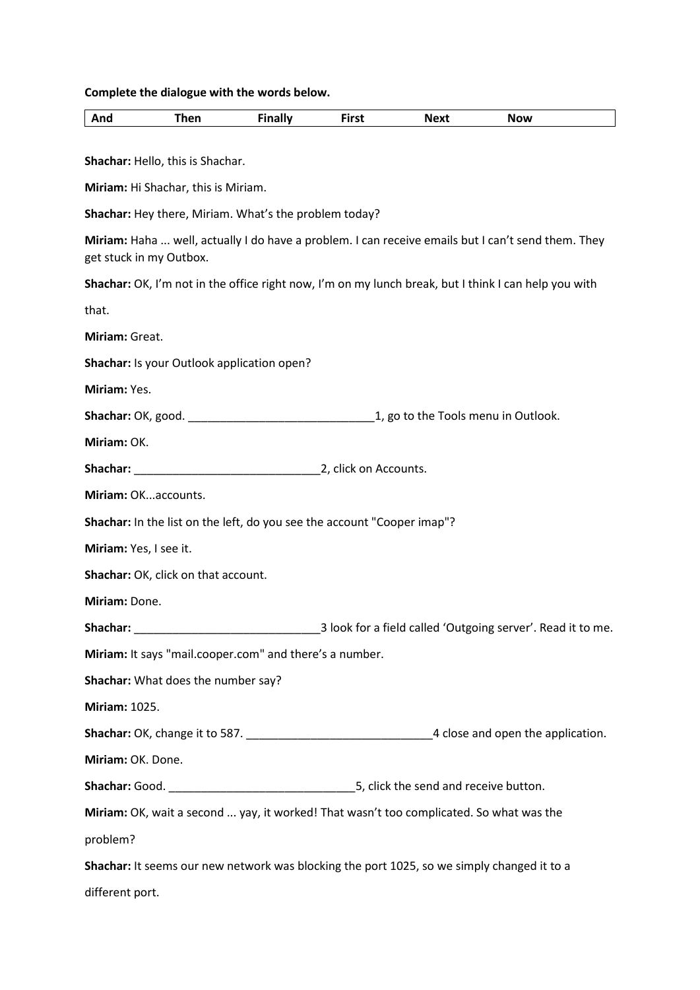## **Complete the dialogue with the words below.**

| And                                                                                                                                                       | <b>Then</b>                         | <b>Finally</b> | <b>First</b> | <b>Next</b>                                                                                | <b>Now</b>                                                                                          |
|-----------------------------------------------------------------------------------------------------------------------------------------------------------|-------------------------------------|----------------|--------------|--------------------------------------------------------------------------------------------|-----------------------------------------------------------------------------------------------------|
|                                                                                                                                                           |                                     |                |              |                                                                                            |                                                                                                     |
| Shachar: Hello, this is Shachar.                                                                                                                          |                                     |                |              |                                                                                            |                                                                                                     |
| Miriam: Hi Shachar, this is Miriam.                                                                                                                       |                                     |                |              |                                                                                            |                                                                                                     |
| Shachar: Hey there, Miriam. What's the problem today?                                                                                                     |                                     |                |              |                                                                                            |                                                                                                     |
| Miriam: Haha  well, actually I do have a problem. I can receive emails but I can't send them. They<br>get stuck in my Outbox.                             |                                     |                |              |                                                                                            |                                                                                                     |
| Shachar: OK, I'm not in the office right now, I'm on my lunch break, but I think I can help you with                                                      |                                     |                |              |                                                                                            |                                                                                                     |
| that.                                                                                                                                                     |                                     |                |              |                                                                                            |                                                                                                     |
| Miriam: Great.                                                                                                                                            |                                     |                |              |                                                                                            |                                                                                                     |
| Shachar: Is your Outlook application open?                                                                                                                |                                     |                |              |                                                                                            |                                                                                                     |
| Miriam: Yes.                                                                                                                                              |                                     |                |              |                                                                                            |                                                                                                     |
|                                                                                                                                                           |                                     |                |              | 1, go to the Tools menu in Outlook.                                                        |                                                                                                     |
| Miriam: OK.                                                                                                                                               |                                     |                |              |                                                                                            |                                                                                                     |
| 2, click on Accounts.<br>Shachar:<br><u> 1989 - Johann Barn, mars eta bat eta bat erroman erroman erroman erroman erroman erroman erroman erroman err</u> |                                     |                |              |                                                                                            |                                                                                                     |
| Miriam: OKaccounts.                                                                                                                                       |                                     |                |              |                                                                                            |                                                                                                     |
| Shachar: In the list on the left, do you see the account "Cooper imap"?                                                                                   |                                     |                |              |                                                                                            |                                                                                                     |
| Miriam: Yes, I see it.                                                                                                                                    |                                     |                |              |                                                                                            |                                                                                                     |
|                                                                                                                                                           | Shachar: OK, click on that account. |                |              |                                                                                            |                                                                                                     |
| Miriam: Done.                                                                                                                                             |                                     |                |              |                                                                                            |                                                                                                     |
| Shachar:                                                                                                                                                  |                                     |                |              |                                                                                            | 3 look for a field called 'Outgoing server'. Read it to me.                                         |
| Miriam: It says "mail.cooper.com" and there's a number.                                                                                                   |                                     |                |              |                                                                                            |                                                                                                     |
| Shachar: What does the number say?                                                                                                                        |                                     |                |              |                                                                                            |                                                                                                     |
| <b>Miriam: 1025.</b>                                                                                                                                      |                                     |                |              |                                                                                            |                                                                                                     |
|                                                                                                                                                           |                                     |                |              |                                                                                            | Shachar: OK, change it to 587. ___________________________________4 close and open the application. |
| Miriam: OK. Done.                                                                                                                                         |                                     |                |              |                                                                                            |                                                                                                     |
|                                                                                                                                                           |                                     |                |              |                                                                                            |                                                                                                     |
| Miriam: OK, wait a second  yay, it worked! That wasn't too complicated. So what was the                                                                   |                                     |                |              |                                                                                            |                                                                                                     |
| problem?                                                                                                                                                  |                                     |                |              |                                                                                            |                                                                                                     |
|                                                                                                                                                           |                                     |                |              | Shachar: It seems our new network was blocking the port 1025, so we simply changed it to a |                                                                                                     |
|                                                                                                                                                           |                                     |                |              |                                                                                            |                                                                                                     |

different port.